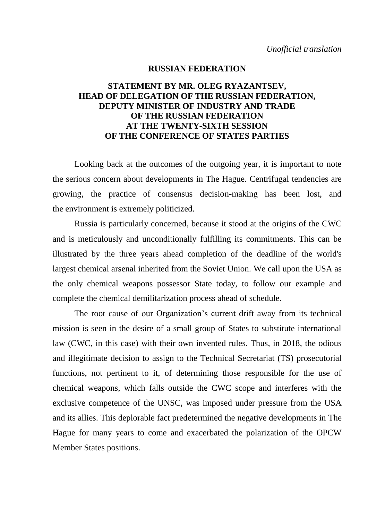## **RUSSIAN FEDERATION**

## **STATEMENT BY MR. OLEG RYAZANTSEV, HEAD OF DELEGATION OF THE RUSSIAN FEDERATION, DEPUTY MINISTER OF INDUSTRY AND TRADE OF THE RUSSIAN FEDERATION AT THE TWENTY-SIXTH SESSION OF THE CONFERENCE OF STATES PARTIES**

Looking back at the outcomes of the outgoing year, it is important to note the serious concern about developments in The Hague. Centrifugal tendencies are growing, the practice of consensus decision-making has been lost, and the environment is extremely politicized.

Russia is particularly concerned, because it stood at the origins of the CWC and is meticulously and unconditionally fulfilling its commitments. This can be illustrated by the three years ahead completion of the deadline of the world's largest chemical arsenal inherited from the Soviet Union. We call upon the USA as the only chemical weapons possessor State today, to follow our example and complete the chemical demilitarization process ahead of schedule.

The root cause of our Organization's current drift away from its technical mission is seen in the desire of a small group of States to substitute international law (CWC, in this case) with their own invented rules. Thus, in 2018, the odious and illegitimate decision to assign to the Technical Secretariat (TS) prosecutorial functions, not pertinent to it, of determining those responsible for the use of chemical weapons, which falls outside the CWC scope and interferes with the exclusive competence of the UNSC, was imposed under pressure from the USA and its allies. This deplorable fact predetermined the negative developments in The Hague for many years to come and exacerbated the polarization of the OPCW Member States positions.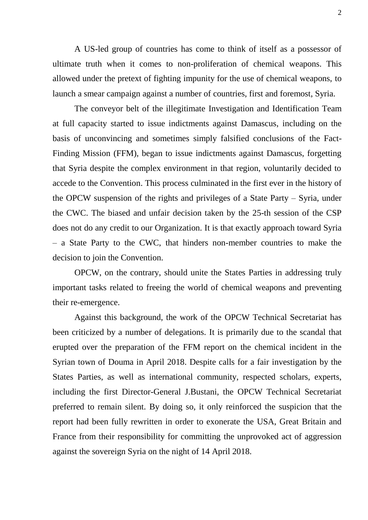A US-led group of countries has come to think of itself as a possessor of ultimate truth when it comes to non-proliferation of chemical weapons. This allowed under the pretext of fighting impunity for the use of chemical weapons, to launch a smear campaign against a number of countries, first and foremost, Syria.

The conveyor belt of the illegitimate Investigation and Identification Team at full capacity started to issue indictments against Damascus, including on the basis of unconvincing and sometimes simply falsified conclusions of the Fact-Finding Mission (FFM), began to issue indictments against Damascus, forgetting that Syria despite the complex environment in that region, voluntarily decided to accede to the Convention. This process culminated in the first ever in the history of the OPCW suspension of the rights and privileges of a State Party – Syria, under the CWC. The biased and unfair decision taken by the 25-th session of the CSP does not do any credit to our Organization. It is that exactly approach toward Syria – a State Party to the CWC, that hinders non-member countries to make the decision to join the Convention.

OPCW, on the contrary, should unite the States Parties in addressing truly important tasks related to freeing the world of chemical weapons and preventing their re-emergence.

Against this background, the work of the OPCW Technical Secretariat has been criticized by a number of delegations. It is primarily due to the scandal that erupted over the preparation of the FFM report on the chemical incident in the Syrian town of Douma in April 2018. Despite calls for a fair investigation by the States Parties, as well as international community, respected scholars, experts, including the first Director-General J.Bustani, the OPCW Technical Secretariat preferred to remain silent. By doing so, it only reinforced the suspicion that the report had been fully rewritten in order to exonerate the USA, Great Britain and France from their responsibility for committing the unprovoked act of aggression against the sovereign Syria on the night of 14 April 2018.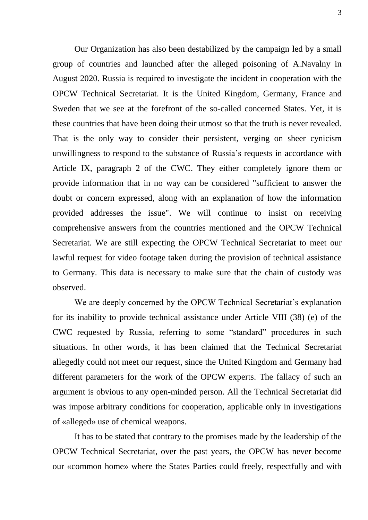Our Organization has also been destabilized by the campaign led by a small group of countries and launched after the alleged poisoning of A.Navalny in August 2020. Russia is required to investigate the incident in cooperation with the OPCW Technical Secretariat. It is the United Kingdom, Germany, France and Sweden that we see at the forefront of the so-called concerned States. Yet, it is these countries that have been doing their utmost so that the truth is never revealed. That is the only way to consider their persistent, verging on sheer cynicism unwillingness to respond to the substance of Russia's requests in accordance with Article IX, paragraph 2 of the CWC. They either completely ignore them or provide information that in no way can be considered "sufficient to answer the doubt or concern expressed, along with an explanation of how the information provided addresses the issue". We will continue to insist on receiving comprehensive answers from the countries mentioned and the OPCW Technical Secretariat. We are still expecting the OPCW Technical Secretariat to meet our lawful request for video footage taken during the provision of technical assistance to Germany. This data is necessary to make sure that the chain of custody was observed.

We are deeply concerned by the OPCW Technical Secretariat's explanation for its inability to provide technical assistance under Article VIII (38) (e) of the CWC requested by Russia, referring to some "standard" procedures in such situations. In other words, it has been claimed that the Technical Secretariat allegedly could not meet our request, since the United Kingdom and Germany had different parameters for the work of the OPCW experts. The fallacy of such an argument is obvious to any open-minded person. All the Technical Secretariat did was impose arbitrary conditions for cooperation, applicable only in investigations of «alleged» use of chemical weapons.

It has to be stated that contrary to the promises made by the leadership of the OPCW Technical Secretariat, over the past years, the OPCW has never become our «common home» where the States Parties could freely, respectfully and with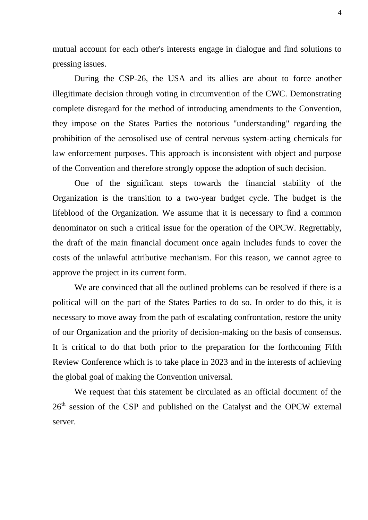mutual account for each other's interests engage in dialogue and find solutions to pressing issues.

During the CSP-26, the USA and its allies are about to force another illegitimate decision through voting in circumvention of the CWC. Demonstrating complete disregard for the method of introducing amendments to the Convention, they impose on the States Parties the notorious "understanding" regarding the prohibition of the aerosolised use of central nervous system-acting chemicals for law enforcement purposes. This approach is inconsistent with object and purpose of the Convention and therefore strongly oppose the adoption of such decision.

One of the significant steps towards the financial stability of the Organization is the transition to a two-year budget cycle. The budget is the lifeblood of the Organization. We assume that it is necessary to find a common denominator on such a critical issue for the operation of the OPCW. Regrettably, the draft of the main financial document once again includes funds to cover the costs of the unlawful attributive mechanism. For this reason, we cannot agree to approve the project in its current form.

We are convinced that all the outlined problems can be resolved if there is a political will on the part of the States Parties to do so. In order to do this, it is necessary to move away from the path of escalating confrontation, restore the unity of our Organization and the priority of decision-making on the basis of consensus. It is critical to do that both prior to the preparation for the forthcoming Fifth Review Conference which is to take place in 2023 and in the interests of achieving the global goal of making the Convention universal.

We request that this statement be circulated as an official document of the  $26<sup>th</sup>$  session of the CSP and published on the Catalyst and the OPCW external server.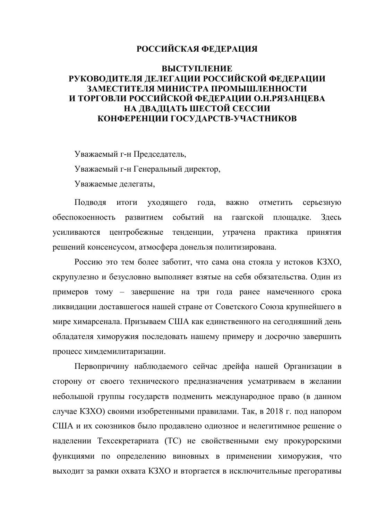## **РОССИЙСКАЯ ФЕДЕРАЦИЯ**

## **ВЫСТУПЛЕНИЕ РУКОВОДИТЕЛЯ ДЕЛЕГАЦИИ РОССИЙСКОЙ ФЕДЕРАЦИИ ЗАМЕСТИТЕЛЯ МИНИСТРА ПРОМЫШЛЕННОСТИ И ТОРГОВЛИ РОССИЙСКОЙ ФЕДЕРАЦИИ О.Н.РЯЗАНЦЕВА НА ДВАДЦАТЬ ШЕСТОЙ СЕССИИ КОНФЕРЕНЦИИ ГОСУДАРСТВ-УЧАСТНИКОВ**

Уважаемый г-н Председатель, Уважаемый г-н Генеральный директор, Уважаемые делегаты,

Подводя итоги уходящего года, важно отметить серьезную обеспокоенность развитием событий на гаагской площадке. Здесь усиливаются центробежные тенденции, утрачена практика принятия решений консенсусом, атмосфера донельзя политизирована.

Россию это тем более заботит, что сама она стояла у истоков КЗХО, скрупулезно и безусловно выполняет взятые на себя обязательства. Один из примеров тому – завершение на три года ранее намеченного срока ликвидации доставшегося нашей стране от Советского Союза крупнейшего в мире химарсенала. Призываем США как единственного на сегодняшний день обладателя химоружия последовать нашему примеру и досрочно завершить процесс химдемилитаризации.

Первопричину наблюдаемого сейчас дрейфа нашей Организации в сторону от своего технического предназначения усматриваем в желании небольшой группы государств подменить международное право (в данном случае КЗХО) своими изобретенными правилами. Так, в 2018 г. под напором США и их союзников было продавлено одиозное и нелегитимное решение о наделении Техсекретариата (ТС) не свойственными ему прокурорскими функциями по определению виновных в применении химоружия, что выходит за рамки охвата КЗХО и вторгается в исключительные прегоративы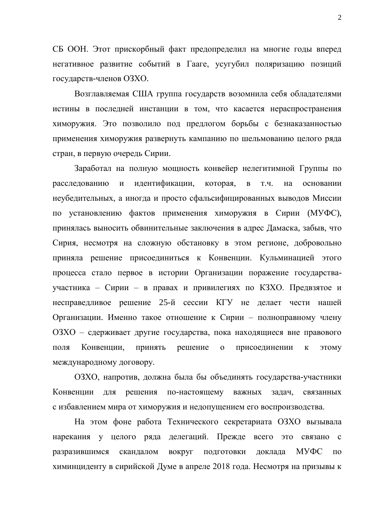СБ ООН. Этот прискорбный факт предопределил на многие годы вперед негативное развитие событий в Гааге, усугубил поляризацию позиций государств-членов ОЗХО.

Возглавляемая США группа государств возомнила себя обладателями истины в последней инстанции в том, что касается нераспространения химоружия. Это позволило под предлогом борьбы с безнаказанностью применения химоружия развернуть кампанию по шельмованию целого ряда стран, в первую очередь Сирии.

Заработал на полную мощность конвейер нелегитимной Группы по расследованию и идентификации, которая, в т.ч. на основании неубедительных, а иногда и просто сфальсифицированных выводов Миссии по установлению фактов применения химоружия в Сирии (МУФС), принялась выносить обвинительные заключения в адрес Дамаска, забыв, что Сирия, несмотря на сложную обстановку в этом регионе, добровольно приняла решение присоединиться к Конвенции. Кульминацией этого процесса стало первое в истории Организации поражение государстваучастника – Сирии – в правах и привилегиях по КЗХО. Предвзятое и несправедливое решение 25-й сессии КГУ не делает чести нашей Организации. Именно такое отношение к Сирии – полноправному члену ОЗХО – сдерживает другие государства, пока находящиеся вне правового поля Конвенции, принять решение о присоединении к этому международному договору.

ОЗХО, напротив, должна была бы объединять государства-участники Конвенции для решения по-настоящему важных задач, связанных с избавлением мира от химоружия и недопущением его воспроизводства.

На этом фоне работа Технического секретариата ОЗХО вызывала нарекания у целого ряда делегаций. Прежде всего это связано с разразившимся скандалом вокруг подготовки доклада МУФС по химинциденту в сирийской Думе в апреле 2018 года. Несмотря на призывы к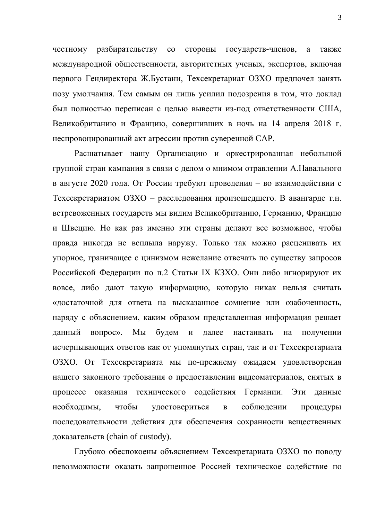честному разбирательству со стороны государств-членов, а также международной общественности, авторитетных ученых, экспертов, включая первого Гендиректора Ж.Бустани, Техсекретариат ОЗХО предпочел занять позу умолчания. Тем самым он лишь усилил подозрения в том, что доклад был полностью переписан с целью вывести из-под ответственности США, Великобританию и Францию, совершивших в ночь на 14 апреля 2018 г. неспровоцированный акт агрессии против суверенной CAP.

Расшатывает нашу Организацию и оркестрированная небольшой группой стран кампания в связи с делом о мнимом отравлении А.Навального в августе 2020 года. От России требуют проведения – во взаимодействии с Техсекретариатом ОЗХО – расследования произошедшего. В авангарде т.н. встревоженных государств мы видим Великобританию, Германию, Францию и Швецию. Но как раз именно эти страны делают все возможное, чтобы правда никогда не всплыла наружу. Только так можно расценивать их упорное, граничащее с цинизмом нежелание отвечать по существу запросов Российской Федерации по п.2 Статьи IX КЗХО. Они либо игнорируют их вовсе, либо дают такую информацию, которую никак нельзя считать «достаточной для ответа на высказанное сомнение или озабоченность, наряду с объяснением, каким образом представленная информация решает данный вопрос». Мы будем и далее настаивать на получении исчерпывающих ответов как от упомянутых стран, так и от Техсекретариата ОЗХО. От Техсекретариата мы по-прежнему ожидаем удовлетворения нашего законного требования о предоставлении видеоматериалов, снятых в процессе оказания технического содействия Германии. Эти данные необходимы, чтобы удостовериться в соблюдении процедуры последовательности действия для обеспечения сохранности вещественных доказательств (chain of custody).

Глубоко обеспокоены объяснением Техсекретариата ОЗХО по поводу невозможности оказать запрошенное Россией техническое содействие по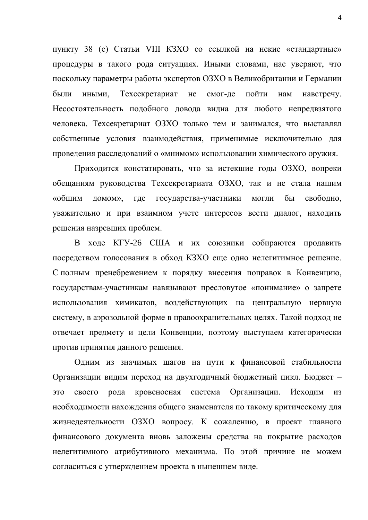пункту 38 (е) Статьи VIII КЗХО со ссылкой на некие «стандартные» процедуры в такого рода ситуациях. Иными словами, нас уверяют, что поскольку параметры работы экспертов ОЗХО в Великобритании и Германии были иными, Техсекретариат не смог-де пойти нам навстречу. Несостоятельность подобного довода видна для любого непредвзятого человека. Техсекретариат ОЗХО только тем и занимался, что выставлял собственные условия взаимодействия, применимые исключительно для проведения расследований о «мнимом» использовании химического оружия.

Приходится констатировать, что за истекшие годы ОЗХО, вопреки обещаниям руководства Техсекретариата ОЗХО, так и не стала нашим «общим домом», где государства-участники могли бы свободно, уважительно и при взаимном учете интересов вести диалог, находить решения назревших проблем.

В ходе КГУ-26 США и их союзники собираются продавить посредством голосования в обход КЗХО еще одно нелегитимное решение. С полным пренебрежением к порядку внесения поправок в Конвенцию, государствам-участникам навязывают пресловутое «понимание» о запрете использования химикатов, воздействующих на центральную нервную систему, в аэрозольной форме в правоохранительных целях. Такой подход не отвечает предмету и цели Конвенции, поэтому выступаем категорически против принятия данного решения.

Одним из значимых шагов на пути к финансовой стабильности Организации видим переход на двухгодичный бюджетный цикл. Бюджет – это своего рода кровеносная система Организации. Исходим из необходимости нахождения общего знаменателя по такому критическому для жизнедеятельности ОЗХО вопросу. К сожалению, в проект главного финансового документа вновь заложены средства на покрытие расходов нелегитимного атрибутивного механизма. По этой причине не можем согласиться с утверждением проекта в нынешнем виде.